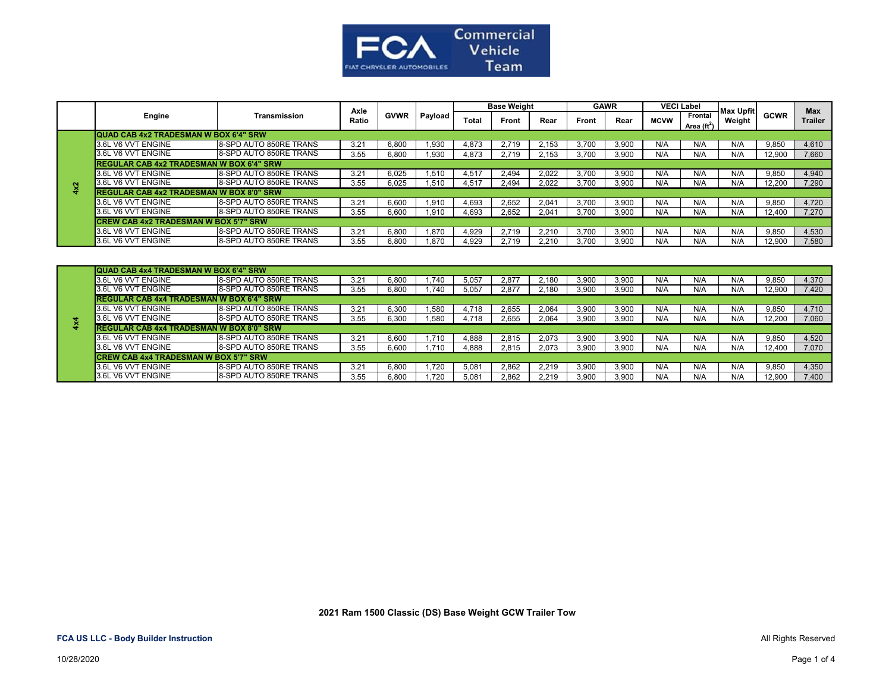

|     |                                                 |                        | Axle          |             |         |              | <b>Base Weight</b> |       | <b>GAWR</b> |       | <b>VECI Label</b> |                                        | Max Upfit |             | <b>Max</b>     |
|-----|-------------------------------------------------|------------------------|---------------|-------------|---------|--------------|--------------------|-------|-------------|-------|-------------------|----------------------------------------|-----------|-------------|----------------|
|     | Engine                                          | Transmission           | Ratio         | <b>GVWR</b> | Payload | <b>Total</b> | Front              | Rear  | Front       | Rear  | <b>MCVW</b>       | <b>Frontal</b><br>Area $(\text{ft}^2)$ | Weight    | <b>GCWR</b> | <b>Trailer</b> |
|     | QUAD CAB 4x2 TRADESMAN W BOX 6'4" SRW           |                        |               |             |         |              |                    |       |             |       |                   |                                        |           |             |                |
|     | 3.6L V6 VVT ENGINE                              | 8-SPD AUTO 850RE TRANS | 3.21          | 6.800       | .930    | 4.873        | 2.719              | 2.153 | 3.700       | 3,900 | N/A               | N/A                                    | N/A       | 9.850       | 4,610          |
|     | 3.6L V6 VVT ENGINE                              | 8-SPD AUTO 850RE TRANS | 3.55          | 6.800       | .930    | 4.873        | 2.719              | 2.153 | 3.700       | 3.900 | N/A               | N/A                                    | N/A       | 12.900      | 7.660          |
|     | <b>REGULAR CAB 4x2 TRADESMAN W BOX 6'4" SRW</b> |                        |               |             |         |              |                    |       |             |       |                   |                                        |           |             |                |
|     | 3.6L V6 VVT ENGINE                              | 8-SPD AUTO 850RE TRANS | 3.21          | 6.025       | .510    | 4.517        | 2.494              | 2.022 | 3.700       | 3.900 | N/A               | N/A                                    | N/A       | 9.850       | 4,940          |
| 4x2 | 3.6L V6 VVT ENGINE                              | 8-SPD AUTO 850RE TRANS | 3.55          | 6.025       | .510    | 4.517        | 2.494              | 2.022 | 3.700       | 3.900 | N/A               | N/A                                    | N/A       | 12.200      | 7.290          |
|     | <b>REGULAR CAB 4x2 TRADESMAN W BOX 8'0" SRW</b> |                        |               |             |         |              |                    |       |             |       |                   |                                        |           |             |                |
|     | 3.6L V6 VVT ENGINE                              | 8-SPD AUTO 850RE TRANS | 3.21          | 6.600       | .910    | 4.693        | 2.652              | 2.041 | 3.700       | 3.900 | N/A               | N/A                                    | N/A       | 9.850       | 4.720          |
|     | 3.6L V6 VVT ENGINE                              | 8-SPD AUTO 850RE TRANS | 3.55          | 6,600       | .910    | 4.693        | 2,652              | 2.041 | 3.700       | 3,900 | N/A               | N/A                                    | N/A       | 12.400      | 7.270          |
|     | <b>CREW CAB 4x2 TRADESMAN W BOX 5'7" SRW</b>    |                        |               |             |         |              |                    |       |             |       |                   |                                        |           |             |                |
|     | 3.6L V6 VVT ENGINE                              | 8-SPD AUTO 850RE TRANS | $3.2^{\circ}$ | 6.800       | .870    | 4.929        |                    | 2.210 | 3.700       | 3.900 | N/A               | N/A                                    | N/A       | 9.850       | 4,530          |
|     | 3.6L V6 VVT ENGINE                              | 8-SPD AUTO 850RE TRANS | 3.55          | 6.800       | .870    | 4.929        | 2.719              | 2.210 | 3.700       | 3.900 | N/A               | N/A                                    | N/A       | 12.900      | 7,580          |

| a | QUAD CAB 4x4 TRADESMAN W BOX 6'4" SRW           |                        |      |       |      |       |       |       |       |       |     |     |     |        |       |
|---|-------------------------------------------------|------------------------|------|-------|------|-------|-------|-------|-------|-------|-----|-----|-----|--------|-------|
|   | 3.6L V6 VVT ENGINE                              | 8-SPD AUTO 850RE TRANS | 3.21 | 6.800 | .740 | 5.057 | 2.877 | 2.180 | 3.900 | 3,900 | N/A | N/A | N/A | 9.850  | 4,370 |
|   | 3.6L V6 VVT ENGINE                              | 8-SPD AUTO 850RE TRANS | 3.55 | 6,800 | .740 | 5.057 | 2.877 | 2.180 | 3.900 | 3,900 | N/A | N/A | N/A | 12,900 | 7.420 |
|   | <b>REGULAR CAB 4x4 TRADESMAN W BOX 6'4" SRW</b> |                        |      |       |      |       |       |       |       |       |     |     |     |        |       |
|   | 3.6L V6 VVT ENGINE                              | 8-SPD AUTO 850RE TRANS | 3.21 | 6.300 | .580 | 4.718 | 2.655 | 2.064 | 3,90C | 3.900 | N/A | N/A | N/A | 9.850  | 4,710 |
|   | 3.6L V6 VVT ENGINE                              | 8-SPD AUTO 850RE TRANS | 3.55 | 6,300 | .580 | 4.718 | 2.655 | 2,064 | 3.900 | 3,900 | N/A | N/A | N/A | 12,200 | 7,060 |
|   | <b>REGULAR CAB 4x4 TRADESMAN W BOX 8'0" SRW</b> |                        |      |       |      |       |       |       |       |       |     |     |     |        |       |
|   | 3.6L V6 VVT ENGINE                              | 8-SPD AUTO 850RE TRANS | 3.21 | 6.600 | .710 | 4.888 | 2.815 | 2.073 | 3.900 | 3.900 | N/A | N/A | N/A | 9.850  | 4,520 |
|   | 3.6L V6 VVT ENGINE                              | 8-SPD AUTO 850RE TRANS | 3.55 | 6.600 | .710 | 4.888 | 2.815 | 2.073 | 3.900 | 3,900 | N/A | N/A | N/A | 12.400 | 7,070 |
|   | <b>CREW CAB 4x4 TRADESMAN W BOX 5'7" SRW</b>    |                        |      |       |      |       |       |       |       |       |     |     |     |        |       |
|   | 3.6L V6 VVT ENGINE                              | 8-SPD AUTO 850RE TRANS | 3.21 | 6.800 | .720 | 5.081 | 2.862 | 2.219 | 3.90C | 3,900 | N/A | N/A | N/A | 9.850  | 4,350 |
|   | 3.6L V6 VVT ENGINE                              | 8-SPD AUTO 850RE TRANS | 3.55 | 6,800 | .720 | 5.081 | 2.862 | 2.219 | 3.900 | 3,900 | N/A | N/A | N/A | 12.900 | 7.400 |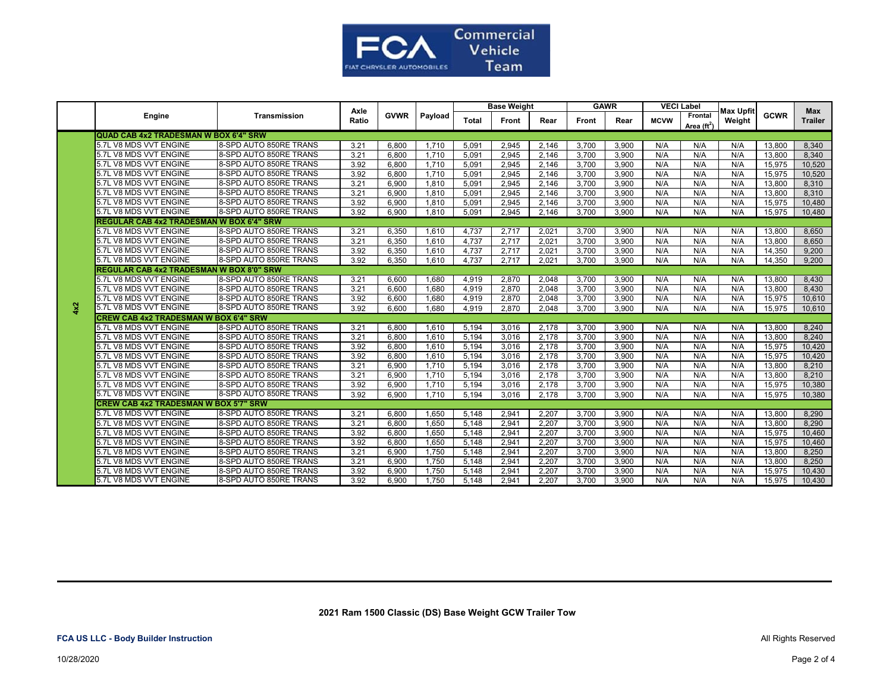

|     | Engine                                          |                        | Axle  | <b>GVWR</b> | Payload |              | <b>Base Weight</b> |       | <b>GAWR</b> |       |             | <b>VECI Label</b>               |                            |             | Max            |
|-----|-------------------------------------------------|------------------------|-------|-------------|---------|--------------|--------------------|-------|-------------|-------|-------------|---------------------------------|----------------------------|-------------|----------------|
|     |                                                 | Transmission           | Ratio |             |         | <b>Total</b> | Front              | Rear  | Front       | Rear  | <b>MCVW</b> | Frontal<br>Area $(\text{ft}^2)$ | <b>Max Upfit</b><br>Weight | <b>GCWR</b> | <b>Trailer</b> |
|     | QUAD CAB 4x2 TRADESMAN W BOX 6'4" SRW           |                        |       |             |         |              |                    |       |             |       |             |                                 |                            |             |                |
|     | 5.7L V8 MDS VVT ENGINE                          | 8-SPD AUTO 850RE TRANS | 3.21  | 6,800       | 1,710   | 5,091        | 2,945              | 2,146 | 3,700       | 3,900 | N/A         | N/A                             | N/A                        | 13,800      | 8,340          |
|     | 5.7L V8 MDS VVT ENGINE                          | 8-SPD AUTO 850RE TRANS | 3.21  | 6.800       | 1.710   | 5.091        | 2,945              | 2.146 | 3.700       | 3.900 | N/A         | N/A                             | N/A                        | 13,800      | 8.340          |
|     | 5.7L V8 MDS VVT ENGINE                          | 8-SPD AUTO 850RE TRANS | 3.92  | 6,800       | 1,710   | 5,091        | 2,945              | 2,146 | 3,700       | 3,900 | N/A         | N/A                             | N/A                        | 15,975      | 10,520         |
|     | 5.7L V8 MDS VVT ENGINE                          | 8-SPD AUTO 850RE TRANS | 3.92  | 6,800       | 1.710   | 5.091        | 2,945              | 2,146 | 3,700       | 3,900 | N/A         | N/A                             | N/A                        | 15,975      | 10,520         |
|     | 5.7L V8 MDS VVT ENGINE                          | 8-SPD AUTO 850RE TRANS | 3.21  | 6,900       | 1,810   | 5.091        | 2,945              | 2.146 | 3.700       | 3,900 | N/A         | N/A                             | N/A                        | 13,800      | 8,310          |
|     | 5.7L V8 MDS VVT ENGINE                          | 8-SPD AUTO 850RE TRANS | 3.21  | 6.900       | 1.810   | 5.091        | 2.945              | 2.146 | 3.700       | 3,900 | N/A         | N/A                             | N/A                        | 13,800      | 8,310          |
|     | 5.7L V8 MDS VVT ENGINE                          | 8-SPD AUTO 850RE TRANS | 3.92  | 6,900       | 1,810   | 5,091        | 2,945              | 2,146 | 3,700       | 3,900 | N/A         | N/A                             | N/A                        | 15,975      | 10,480         |
|     | 5.7L V8 MDS VVT ENGINE                          | 8-SPD AUTO 850RE TRANS | 3.92  | 6,900       | 1,810   | 5,091        | 2,945              | 2,146 | 3,700       | 3,900 | N/A         | N/A                             | N/A                        | 15,975      | 10,480         |
|     | REGULAR CAB 4x2 TRADESMAN W BOX 6'4" SRW        |                        |       |             |         |              |                    |       |             |       |             |                                 |                            |             |                |
|     | 5.7L V8 MDS VVT ENGINE                          | 8-SPD AUTO 850RE TRANS | 3.21  | 6,350       | 1,610   | 4,737        | 2,717              | 2,021 | 3,700       | 3,900 | N/A         | N/A                             | N/A                        | 13,800      | 8,650          |
|     | 5.7L V8 MDS VVT ENGINE                          | 8-SPD AUTO 850RE TRANS | 3.21  | 6,350       | 1,610   | 4,737        | 2,717              | 2,021 | 3,700       | 3,900 | N/A         | N/A                             | N/A                        | 13,800      | 8,650          |
|     | 5.7L V8 MDS VVT ENGINE                          | 8-SPD AUTO 850RE TRANS | 3.92  | 6,350       | 1,610   | 4,737        | 2,717              | 2,021 | 3,700       | 3,900 | N/A         | N/A                             | N/A                        | 14,350      | 9,200          |
|     | 5.7L V8 MDS VVT ENGINE                          | 8-SPD AUTO 850RE TRANS | 3.92  | 6,350       | 1,610   | 4,737        | 2,717              | 2,021 | 3,700       | 3,900 | N/A         | N/A                             | N/A                        | 14,350      | 9,200          |
|     | <b>REGULAR CAB 4x2 TRADESMAN W BOX 8'0" SRW</b> |                        |       |             |         |              |                    |       |             |       |             |                                 |                            |             |                |
|     | 5.7L V8 MDS VVT ENGINE                          | 8-SPD AUTO 850RE TRANS | 3.21  | 6.600       | 1.680   | 4.919        | 2,870              | 2.048 | 3.700       | 3.900 | N/A         | N/A                             | N/A                        | 13,800      | 8,430          |
|     | 5.7L V8 MDS VVT ENGINE                          | 8-SPD AUTO 850RE TRANS | 3.21  | 6.600       | 1.680   | 4.919        | 2.870              | 2.048 | 3,700       | 3,900 | N/A         | N/A                             | N/A                        | 13,800      | 8,430          |
|     | 5.7L V8 MDS VVT ENGINE                          | 8-SPD AUTO 850RE TRANS | 3.92  | 6.600       | 1.680   | 4,919        | 2,870              | 2,048 | 3,700       | 3,900 | N/A         | N/A                             | N/A                        | 15,975      | 10,610         |
| 4x2 | 5.7L V8 MDS VVT ENGINE                          | 8-SPD AUTO 850RE TRANS | 3.92  | 6.600       | 1.680   | 4.919        | 2.870              | 2.048 | 3.700       | 3,900 | N/A         | N/A                             | N/A                        | 15,975      | 10,610         |
|     | <b>CREW CAB 4x2 TRADESMAN W BOX 6'4" SRW</b>    |                        |       |             |         |              |                    |       |             |       |             |                                 |                            |             |                |
|     | 5.7L V8 MDS VVT ENGINE                          | 8-SPD AUTO 850RE TRANS | 3.21  | 6,800       | 1,610   | 5,194        | 3,016              | 2,178 | 3,700       | 3,900 | N/A         | N/A                             | N/A                        | 13,800      | 8,240          |
|     | 5.7L V8 MDS VVT ENGINE                          | 8-SPD AUTO 850RE TRANS | 3.21  | 6,800       | 1,610   | 5,194        | 3,016              | 2,178 | 3,700       | 3,900 | N/A         | N/A                             | N/A                        | 13,800      | 8,240          |
|     | 5.7L V8 MDS VVT ENGINE                          | 8-SPD AUTO 850RE TRANS | 3.92  | 6,800       | 1,610   | 5,194        | 3,016              | 2,178 | 3,700       | 3,900 | N/A         | N/A                             | N/A                        | 15,975      | 10,420         |
|     | 5.7L V8 MDS VVT ENGINE                          | 8-SPD AUTO 850RE TRANS | 3.92  | 6,800       | 1,610   | 5,194        | 3,016              | 2,178 | 3,700       | 3,900 | N/A         | N/A                             | N/A                        | 15,975      | 10,420         |
|     | 5.7L V8 MDS VVT ENGINE                          | 8-SPD AUTO 850RE TRANS | 3.21  | 6,900       | 1,710   | 5,194        | 3,016              | 2,178 | 3.700       | 3,900 | N/A         | N/A                             | N/A                        | 13,800      | 8,210          |
|     | 5.7L V8 MDS VVT ENGINE                          | 8-SPD AUTO 850RE TRANS | 3.21  | 6,900       | 1,710   | 5,194        | 3,016              | 2,178 | 3,700       | 3,900 | N/A         | N/A                             | N/A                        | 13,800      | 8.210          |
|     | 5.7L V8 MDS VVT ENGINE                          | 8-SPD AUTO 850RE TRANS | 3.92  | 6,900       | 1.710   | 5,194        | 3,016              | 2.178 | 3,700       | 3,900 | N/A         | N/A                             | N/A                        | 15,975      | 10,380         |
|     | 5.7L V8 MDS VVT ENGINE                          | 8-SPD AUTO 850RE TRANS | 3.92  | 6,900       | 1.710   | 5,194        | 3,016              | 2.178 | 3.700       | 3,900 | N/A         | N/A                             | N/A                        | 15,975      | 10,380         |
|     | <b>CREW CAB 4x2 TRADESMAN W BOX 5'7" SRW</b>    |                        |       |             |         |              |                    |       |             |       |             |                                 |                            |             |                |
|     | 5.7L V8 MDS VVT ENGINE                          | 8-SPD AUTO 850RE TRANS | 3.21  | 6.800       | 1.650   | 5,148        | 2.941              | 2.207 | 3,700       | 3.900 | N/A         | N/A                             | N/A                        | 13,800      | 8.290          |
|     | 5.7L V8 MDS VVT ENGINE                          | 8-SPD AUTO 850RE TRANS | 3.21  | 6,800       | 1.650   | 5,148        | 2,941              | 2,207 | 3,700       | 3,900 | N/A         | N/A                             | N/A                        | 13,800      | 8,290          |
|     | 5.7L V8 MDS VVT ENGINE                          | 8-SPD AUTO 850RE TRANS | 3.92  | 6,800       | 1,650   | 5,148        | 2,941              | 2,207 | 3,700       | 3,900 | N/A         | N/A                             | N/A                        | 15,975      | 10,460         |
|     | 5.7L V8 MDS VVT ENGINE                          | 8-SPD AUTO 850RE TRANS | 3.92  | 6,800       | 1,650   | 5,148        | 2,941              | 2,207 | 3,700       | 3,900 | N/A         | N/A                             | N/A                        | 15,975      | 10,460         |
|     | 5.7L V8 MDS VVT ENGINE                          | 8-SPD AUTO 850RE TRANS | 3.21  | 6,900       | 1,750   | 5,148        | 2,941              | 2,207 | 3,700       | 3,900 | N/A         | N/A                             | N/A                        | 13,800      | 8,250          |
|     | 5.7L V8 MDS VVT ENGINE                          | 8-SPD AUTO 850RE TRANS | 3.21  | 6,900       | 1,750   | 5,148        | 2,941              | 2,207 | 3,700       | 3,900 | N/A         | N/A                             | N/A                        | 13,800      | 8,250          |
|     | 5.7L V8 MDS VVT ENGINE                          | 8-SPD AUTO 850RE TRANS | 3.92  | 6.900       | 1.750   | 5.148        | 2.941              | 2.207 | 3.700       | 3.900 | N/A         | N/A                             | N/A                        | 15.975      | 10,430         |
|     | 5.7L V8 MDS VVT ENGINE                          | 8-SPD AUTO 850RE TRANS | 3.92  | 6.900       | 1.750   | 5.148        | 2.941              | 2.207 | 3.700       | 3.900 | N/A         | N/A                             | N/A                        | 15.975      | 10.430         |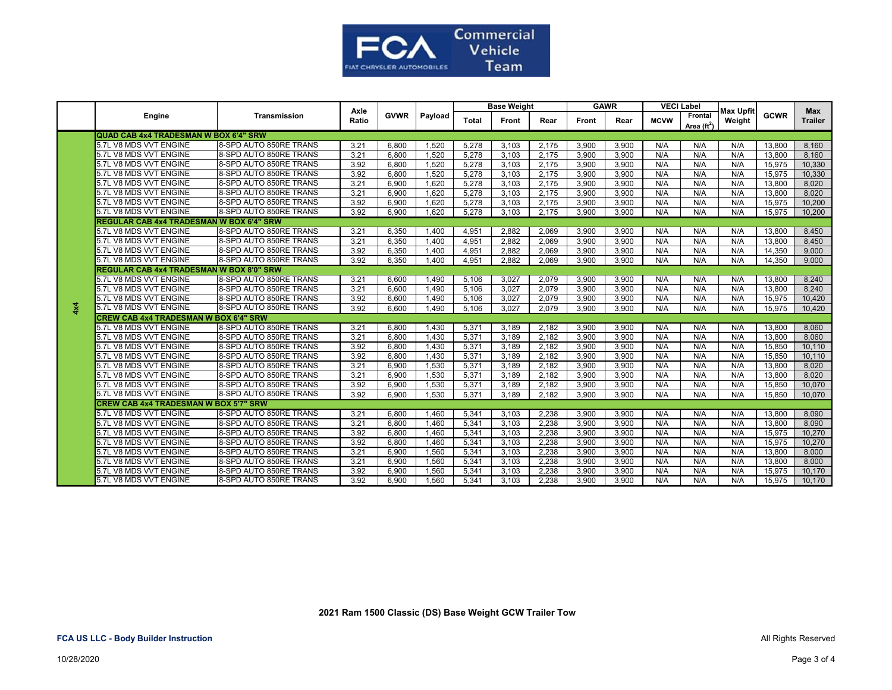

|     | Engine                                          |                        | Axle  | <b>GVWR</b> |         | <b>Base Weight</b> |       | <b>GAWR</b> |       | <b>VECI Label</b> |             | <b>Max Upfit</b>                |        | <b>Max</b>  |                |
|-----|-------------------------------------------------|------------------------|-------|-------------|---------|--------------------|-------|-------------|-------|-------------------|-------------|---------------------------------|--------|-------------|----------------|
|     |                                                 | <b>Transmission</b>    | Ratio |             | Payload | <b>Total</b>       | Front | Rear        | Front | Rear              | <b>MCVW</b> | Frontal<br>Area $(\text{ft}^2)$ | Weight | <b>GCWR</b> | <b>Trailer</b> |
|     | QUAD CAB 4x4 TRADESMAN W BOX 6'4" SRW           |                        |       |             |         |                    |       |             |       |                   |             |                                 |        |             |                |
|     | 5.7L V8 MDS VVT ENGINE                          | 8-SPD AUTO 850RE TRANS | 3.21  | 6,800       | 1,520   | 5,278              | 3,103 | 2,175       | 3,900 | 3,900             | N/A         | N/A                             | N/A    | 13,800      | 8,160          |
|     | 5.7L V8 MDS VVT ENGINE                          | 8-SPD AUTO 850RE TRANS | 3.21  | 6.800       | 1.520   | 5.278              | 3,103 | 2.175       | 3.900 | 3,900             | N/A         | N/A                             | N/A    | 13,800      | 8.160          |
|     | 5.7L V8 MDS VVT ENGINE                          | 8-SPD AUTO 850RE TRANS | 3.92  | 6,800       | 1,520   | 5,278              | 3,103 | 2,175       | 3,900 | 3,900             | N/A         | N/A                             | N/A    | 15,975      | 10,330         |
|     | 5.7L V8 MDS VVT ENGINE                          | 8-SPD AUTO 850RE TRANS | 3.92  | 6,800       | 1,520   | 5,278              | 3,103 | 2,175       | 3,900 | 3,900             | N/A         | N/A                             | N/A    | 15,975      | 10,330         |
|     | 5.7L V8 MDS VVT ENGINE                          | 8-SPD AUTO 850RE TRANS | 3.21  | 6,900       | 1,620   | 5,278              | 3,103 | 2,175       | 3,900 | 3,900             | N/A         | N/A                             | N/A    | 13,800      | 8,020          |
|     | 5.7L V8 MDS VVT ENGINE                          | 8-SPD AUTO 850RE TRANS | 3.21  | 6,900       | 1.620   | 5,278              | 3,103 | 2,175       | 3,900 | 3,900             | N/A         | N/A                             | N/A    | 13,800      | 8,020          |
|     | 5.7L V8 MDS VVT ENGINE                          | 8-SPD AUTO 850RE TRANS | 3.92  | 6,900       | 1,620   | 5,278              | 3,103 | 2,175       | 3,900 | 3,900             | N/A         | N/A                             | N/A    | 15,975      | 10,200         |
|     | 5.7L V8 MDS VVT ENGINE                          | 8-SPD AUTO 850RE TRANS | 3.92  | 6,900       | 1.620   | 5.278              | 3.103 | 2.175       | 3.900 | 3.900             | N/A         | N/A                             | N/A    | 15,975      | 10.200         |
|     | <b>REGULAR CAB 4x4 TRADESMAN W BOX 6'4" SRW</b> |                        |       |             |         |                    |       |             |       |                   |             |                                 |        |             |                |
|     | 5.7L V8 MDS VVT ENGINE                          | 8-SPD AUTO 850RE TRANS | 3.21  | 6,350       | 1.400   | 4.951              | 2.882 | 2,069       | 3.900 | 3.900             | N/A         | N/A                             | N/A    | 13,800      | 8,450          |
|     | 5.7L V8 MDS VVT ENGINE                          | 8-SPD AUTO 850RE TRANS | 3.21  | 6,350       | 1,400   | 4,951              | 2,882 | 2,069       | 3,900 | 3,900             | N/A         | N/A                             | N/A    | 13,800      | 8,450          |
|     | 5.7L V8 MDS VVT ENGINE                          | 8-SPD AUTO 850RE TRANS | 3.92  | 6,350       | 1,400   | 4,951              | 2,882 | 2,069       | 3,900 | 3,900             | N/A         | N/A                             | N/A    | 14,350      | 9,000          |
|     | 5.7L V8 MDS VVT ENGINE                          | 8-SPD AUTO 850RE TRANS | 3.92  | 6,350       | 1,400   | 4,951              | 2.882 | 2,069       | 3,900 | 3,900             | N/A         | N/A                             | N/A    | 14,350      | 9,000          |
|     | <b>REGULAR CAB 4x4 TRADESMAN W BOX 8'0" SRW</b> |                        |       |             |         |                    |       |             |       |                   |             |                                 |        |             |                |
|     | 5.7L V8 MDS VVT ENGINE                          | 8-SPD AUTO 850RE TRANS | 3.21  | 6,600       | 1,490   | 5,106              | 3.027 | 2.079       | 3,900 | 3,900             | N/A         | N/A                             | N/A    | 13,800      | 8,240          |
|     | 5.7L V8 MDS VVT ENGINE                          | 8-SPD AUTO 850RE TRANS | 3.21  | 6.600       | 1.490   | 5,106              | 3,027 | 2,079       | 3,900 | 3,900             | N/A         | N/A                             | N/A    | 13,800      | 8,240          |
|     | 5.7L V8 MDS VVT ENGINE                          | 8-SPD AUTO 850RE TRANS | 3.92  | 6,600       | 1,490   | 5,106              | 3,027 | 2,079       | 3,900 | 3,900             | N/A         | N/A                             | N/A    | 15,975      | 10,420         |
| 4x4 | 5.7L V8 MDS VVT ENGINE                          | 8-SPD AUTO 850RE TRANS | 3.92  | 6.600       | 1,490   | 5.106              | 3.027 | 2.079       | 3.900 | 3.900             | N/A         | N/A                             | N/A    | 15,975      | 10,420         |
|     | <b>CREW CAB 4x4 TRADESMAN W BOX 6'4" SRW</b>    |                        |       |             |         |                    |       |             |       |                   |             |                                 |        |             |                |
|     | 5.7L V8 MDS VVT ENGINE                          | 8-SPD AUTO 850RE TRANS | 3.21  | 6,800       | 1,430   | 5,371              | 3,189 | 2,182       | 3,900 | 3,900             | N/A         | N/A                             | N/A    | 13,800      | 8,060          |
|     | 5.7L V8 MDS VVT ENGINE                          | 8-SPD AUTO 850RE TRANS | 3.21  | 6,800       | 1,430   | 5,371              | 3,189 | 2,182       | 3,900 | 3,900             | N/A         | N/A                             | N/A    | 13,800      | 8,060          |
|     | 5.7L V8 MDS VVT ENGINE                          | 8-SPD AUTO 850RE TRANS | 3.92  | 6,800       | 1,430   | 5,371              | 3,189 | 2,182       | 3,900 | 3,900             | N/A         | N/A                             | N/A    | 15,850      | 10,110         |
|     | 5.7L V8 MDS VVT ENGINE                          | 8-SPD AUTO 850RE TRANS | 3.92  | 6,800       | 1,430   | 5,371              | 3,189 | 2,182       | 3,900 | 3,900             | N/A         | N/A                             | N/A    | 15,850      | 10,110         |
|     | 5.7L V8 MDS VVT ENGINE                          | 8-SPD AUTO 850RE TRANS | 3.21  | 6.900       | 1,530   | 5,371              | 3.189 | 2.182       | 3.900 | 3,900             | N/A         | N/A                             | N/A    | 13,800      | 8,020          |
|     | 5.7L V8 MDS VVT ENGINE                          | 8-SPD AUTO 850RE TRANS | 3.21  | 6.900       | 1.530   | 5,371              | 3.189 | 2.182       | 3.900 | 3,900             | N/A         | N/A                             | N/A    | 13.800      | 8.020          |
|     | 5.7L V8 MDS VVT ENGINE                          | 8-SPD AUTO 850RE TRANS | 3.92  | 6.900       | 1,530   | 5,371              | 3,189 | 2.182       | 3.900 | 3.900             | N/A         | N/A                             | N/A    | 15,850      | 10,070         |
|     | 5.7L V8 MDS VVT ENGINE                          | 8-SPD AUTO 850RE TRANS | 3.92  | 6.900       | 1.530   | 5.371              | 3.189 | 2.182       | 3.900 | 3.900             | N/A         | N/A                             | N/A    | 15.850      | 10.070         |
|     | <b>CREW CAB 4x4 TRADESMAN W BOX 5'7" SRW</b>    |                        |       |             |         |                    |       |             |       |                   |             |                                 |        |             |                |
|     | 5.7L V8 MDS VVT ENGINE                          | 8-SPD AUTO 850RE TRANS | 3.21  | 6,800       | 1,460   | 5,341              | 3,103 | 2,238       | 3,900 | 3,900             | N/A         | N/A                             | N/A    | 13,800      | 8,090          |
|     | 5.7L V8 MDS VVT ENGINE                          | 8-SPD AUTO 850RE TRANS | 3.21  | 6,800       | 1,460   | 5,341              | 3,103 | 2,238       | 3,900 | 3,900             | N/A         | N/A                             | N/A    | 13,800      | 8,090          |
|     | 5.7L V8 MDS VVT ENGINE                          | 8-SPD AUTO 850RE TRANS | 3.92  | 6,800       | 1,460   | 5,341              | 3,103 | 2,238       | 3,900 | 3,900             | N/A         | N/A                             | N/A    | 15,975      | 10,270         |
|     | 5.7L V8 MDS VVT ENGINE                          | 8-SPD AUTO 850RE TRANS | 3.92  | 6,800       | 1,460   | 5,341              | 3,103 | 2,238       | 3,900 | 3,900             | N/A         | N/A                             | N/A    | 15,975      | 10,270         |
|     | 5.7L V8 MDS VVT ENGINE                          | 8-SPD AUTO 850RE TRANS | 3.21  | 6,900       | 1,560   | 5,341              | 3,103 | 2,238       | 3,900 | 3,900             | N/A         | N/A                             | N/A    | 13,800      | 8,000          |
|     | 5.7L V8 MDS VVT ENGINE                          | 8-SPD AUTO 850RE TRANS | 3.21  | 6,900       | 1,560   | 5,341              | 3,103 | 2,238       | 3,900 | 3,900             | N/A         | N/A                             | N/A    | 13,800      | 8,000          |
|     | 5.7L V8 MDS VVT ENGINE                          | 8-SPD AUTO 850RE TRANS | 3.92  | 6,900       | 1,560   | 5,341              | 3,103 | 2,238       | 3,900 | 3,900             | N/A         | N/A                             | N/A    | 15,975      | 10,170         |
|     | 5.7L V8 MDS VVT ENGINE                          | 8-SPD AUTO 850RE TRANS | 3.92  | 6,900       | 1,560   | 5,341              | 3,103 | 2,238       | 3,900 | 3,900             | N/A         | N/A                             | N/A    | 15,975      | 10,170         |

 **2021 Ram 1500 Classic (DS) Base Weight GCW Trailer Tow**